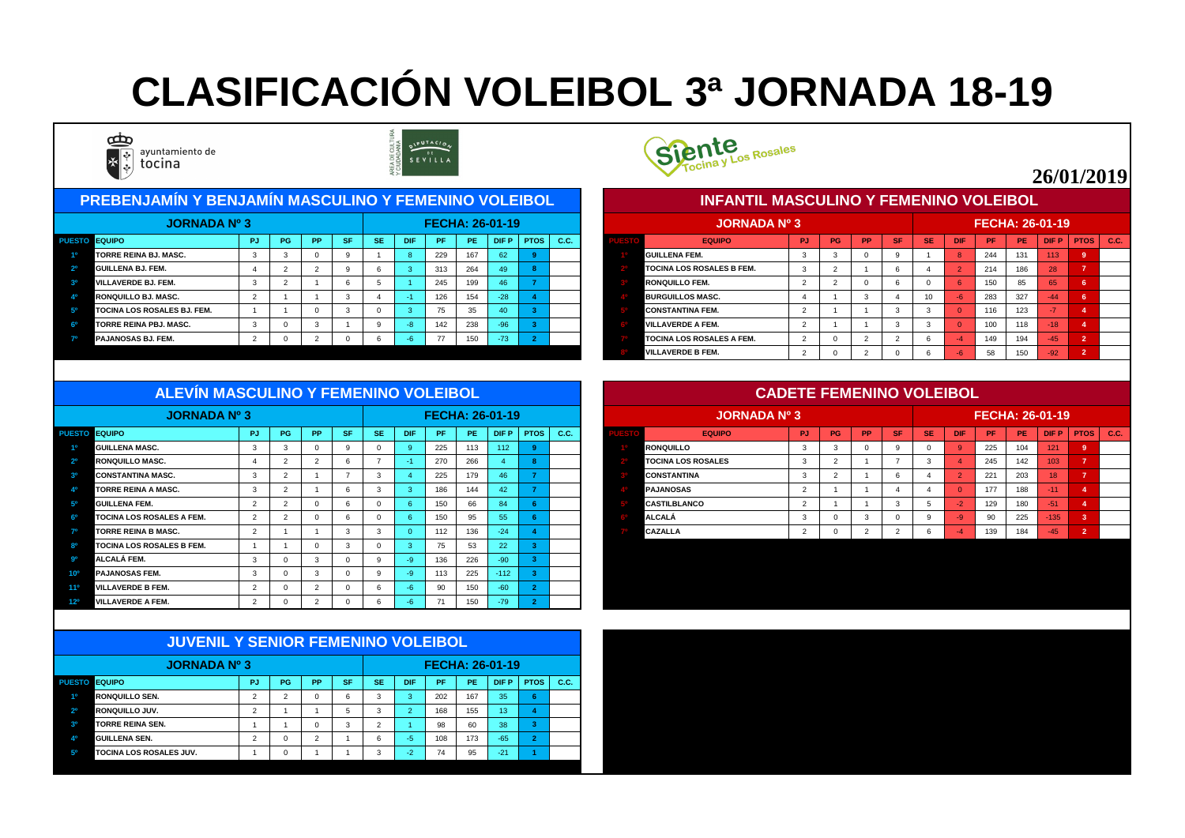| <b>PREBENJAMÍN Y BENJAMÍN MASCULINO Y FEMENINO VOLEIBOL</b> |           |           |           |           |            |      |     |                        |             |      |  | <b>INFANTIL MASCULINO Y FEMENINO VOLEIBOL</b> |     |           |           |           |                 |            |                        |     |             |             |      |
|-------------------------------------------------------------|-----------|-----------|-----------|-----------|------------|------|-----|------------------------|-------------|------|--|-----------------------------------------------|-----|-----------|-----------|-----------|-----------------|------------|------------------------|-----|-------------|-------------|------|
| <b>JORNADA Nº 3</b>                                         |           |           |           |           |            |      |     | <b>FECHA: 26-01-19</b> |             |      |  | <b>JORNADA Nº 3</b>                           |     |           |           |           |                 |            | <b>FECHA: 26-01-19</b> |     |             |             |      |
| PUESTO EQUIPO                                               | <b>PG</b> | <b>PP</b> | <b>SF</b> | <b>SE</b> | <b>DIF</b> | PF.  | PE. | DIF P                  | <b>PTOS</b> | C.C. |  | <b>EQUIPO</b>                                 | PJ. | <b>PG</b> | <b>PP</b> | <b>SF</b> | <b>SE</b>       | <b>DIF</b> | <b>PF</b>              | PE. | <b>DIFP</b> | <b>PTOS</b> | C.C. |
| <b>TORRE REINA BJ. MASC.</b>                                |           |           |           |           |            | 229  | 167 | 62                     |             |      |  | <b>GUILLENA FEM.</b>                          |     |           |           |           |                 |            | 244                    | 131 | 113         |             |      |
| <b>GUILLENA BJ. FEM.</b>                                    |           |           |           |           |            | 313  | 264 | 49/                    |             |      |  | <b>TOCINA LOS ROSALES B FEM.</b>              |     |           |           |           |                 |            | 214                    | 186 | 28          |             |      |
| <b>VILLAVERDE BJ. FEM.</b>                                  |           |           |           |           |            | 245  | 199 | 46                     |             |      |  | <b>RONQUILLO FEM.</b>                         |     |           |           |           |                 |            | 150                    | 85  | 65          |             |      |
| RONQUILLO BJ. MASC.                                         |           |           |           |           |            | 126  | 154 | $-28$                  |             |      |  | <b>BURGUILLOS MASC.</b>                       |     |           |           |           | 10 <sup>°</sup> |            | 283                    | 327 | -44         |             |      |
| TOCINA LOS ROSALES BJ. FEM.                                 |           |           |           |           |            | - 75 | 35  |                        |             |      |  | <b>CONSTANTINA FEM.</b>                       |     |           |           |           |                 |            | 116                    | 123 |             |             |      |
| <b>TORRE REINA PBJ. MASC.</b>                               |           |           |           |           |            | 142  | 238 | $-96/$                 |             |      |  | <b>VILLAVERDE A FEM.</b>                      |     |           |           |           |                 |            | 100                    | 118 | -18         |             |      |
| <b>PAJANOSAS BJ. FEM.</b>                                   |           |           |           |           |            | 77   | 150 | $-73$                  |             |      |  | <b>TOCINA LOS ROSALES A FEM.</b>              |     |           |           |           |                 |            | 149                    | 194 | $-45$       |             |      |
|                                                             |           |           |           |           |            |      |     |                        |             |      |  |                                               |     |           |           |           |                 |            | $ \sim$                |     | $\sim$      |             |      |



|             | JORNADA Nº 3                     |           |           |           |           |           |                | <b>FECHA: 26-01-19</b> |           |             |                |      |
|-------------|----------------------------------|-----------|-----------|-----------|-----------|-----------|----------------|------------------------|-----------|-------------|----------------|------|
| <b>ESTO</b> | <b>EQUIPO</b>                    | <b>PJ</b> | <b>PG</b> | <b>PP</b> | <b>SF</b> | <b>SE</b> | <b>DIF</b>     | <b>PF</b>              | <b>PE</b> | <b>DIFP</b> | <b>PTOS</b>    | C.C. |
|             | <b>IGUILLENA FEM.</b>            | 3         | 3         | 0         | 9         |           | 8              | 244                    | 131       | 113         | 9              |      |
|             | <b>TOCINA LOS ROSALES B FEM.</b> | 3         | 2         |           | 6         | 4         | $\overline{2}$ | 214                    | 186       | 28          | $\overline{7}$ |      |
|             | <b>RONQUILLO FEM.</b>            | 2         | 2         | $\Omega$  | 6         | $\Omega$  | 6              | 150                    | 85        | 65          | $6\phantom{1}$ |      |
|             | <b>BURGUILLOS MASC.</b>          | 4         |           | 3         | 4         | 10        | $-6$           | 283                    | 327       | $-44$       | 6              |      |
|             | <b>CONSTANTINA FEM.</b>          | 2         |           |           | 3         | 3         | $\Omega$       | 116                    | 123       | -7          | 4              |      |
|             | <b>VILLAVERDE A FEM.</b>         | 2         |           |           | 3         | 3         | $\Omega$       | 100                    | 118       | $-18$       | $\overline{4}$ |      |
|             | <b>TOCINA LOS ROSALES A FEM.</b> | 2         | $\Omega$  | 2         | 2         | 6         | $-4$           | 149                    | 194       | $-45$       | $\overline{2}$ |      |
|             | <b>IVILLAVERDE B FEM.</b>        | 2         | 0         | 2         | $\Omega$  | 6         | $-6$           | 58                     | 150       | $-92$       | $\overline{2}$ |      |

| <b>JORNADA Nº 3</b>              |        |           |           |           |           |            |                          |           | <b>FECHA: 26-01-19</b> |             |    |  | <b>JORNADA Nº 3</b>       |     |           |           |             |           |            | <b>FECHA: 26-01-19</b> |           |             |               |  |
|----------------------------------|--------|-----------|-----------|-----------|-----------|------------|--------------------------|-----------|------------------------|-------------|----|--|---------------------------|-----|-----------|-----------|-------------|-----------|------------|------------------------|-----------|-------------|---------------|--|
| PUESTO EQUIPO                    | - PJ I | <b>PG</b> | <b>PP</b> | <b>SF</b> | <b>SE</b> | <b>DIF</b> | /PF                      | <b>PE</b> | <b>DIF P</b>           | <b>PTOS</b> | CC |  | <b>EQUIPO</b>             | PJ. | <b>PG</b> | <b>PP</b> | <b>ASET</b> | <b>SE</b> | <b>DIF</b> | <b>PF</b>              | <b>PE</b> | <b>DIFP</b> | $PTOS$ $C.C.$ |  |
| <b>GUILLENA MASC.</b>            |        |           |           |           |           |            | 225                      | 113       | 112                    |             |    |  | <b>RONQUILLO</b>          |     |           |           |             |           |            | 225                    | 104       | 121         |               |  |
| <b>RONQUILLO MASC.</b>           |        |           |           |           |           |            | 270                      | 266       |                        |             |    |  | <b>TOCINA LOS ROSALES</b> |     |           |           |             |           |            | 245                    | 142       | 103         |               |  |
| <b>CONSTANTINA MASC.</b>         |        |           |           |           |           |            | 225                      | 179       |                        |             |    |  | <b>CONSTANTINA</b>        |     |           |           |             |           |            | 221                    | 203       | 18          |               |  |
| <b>TORRE REINA A MASC.</b>       |        |           |           |           |           |            | 186                      | 144       | ⊿ ∩ ∴                  |             |    |  | <b>PAJANOSAS</b>          |     |           |           |             |           |            | 177                    | 188       | /-11        |               |  |
| <b>GUILLENA FEM.</b>             |        |           |           |           |           |            | 150                      | 66        |                        |             |    |  | <b>CASTILBLANCO</b>       |     |           |           |             |           |            | 129                    | 180       | $-51$       |               |  |
| <b>TOCINA LOS ROSALES A FEM.</b> |        |           |           |           |           |            | 150                      | 95        | 55.                    |             |    |  | <b>ALCALÁ</b>             |     |           |           |             |           |            | 90                     | 225       | $-135$      |               |  |
| <b>TORRE REINA B MASC.</b>       |        |           |           |           |           |            | 112                      | 136       | $-24$                  |             |    |  | <b>CAZALLA</b>            |     |           |           |             |           |            | 139                    | 184       | $-45$       |               |  |
| <b>TOCINA LOS ROSALES B FEM.</b> |        |           |           |           |           |            | $\overline{\phantom{a}}$ |           | 22                     |             |    |  |                           |     |           |           |             |           |            |                        |           |             |               |  |

|                                                    | <b>JORNADA Nº 3</b> |                |           |           |           |           |            | <b>FECHA: 26-01-19</b> |     |             |             |      |  | <b>JORNADA Nº 3</b>       |                |    |           |                |           |            | <b>FECHA: 26-01-19</b> |     |
|----------------------------------------------------|---------------------|----------------|-----------|-----------|-----------|-----------|------------|------------------------|-----|-------------|-------------|------|--|---------------------------|----------------|----|-----------|----------------|-----------|------------|------------------------|-----|
| <b>EQUIPO</b><br><b>PUESTO</b>                     |                     | <b>PJ</b>      | <b>PG</b> | <b>PP</b> | <b>SF</b> | <b>SE</b> | <b>DIF</b> | <b>PF</b>              | PE. | <b>DIFP</b> | <b>PTOS</b> | C.C. |  | <b>EQUIPO</b>             | <b>PJ</b>      | PG | <b>PP</b> | <b>SF</b>      | <b>SE</b> | <b>DIF</b> | PF.                    | PE. |
| <b>GUILLENA MASC.</b><br>10                        |                     | 3              |           |           |           |           |            | 225                    | 113 | 112         |             |      |  | <b>RONQUILLO</b>          | 3              |    |           |                |           |            | 225                    | 104 |
| 2 <sup>o</sup><br>RONQUILLO MASC.                  |                     |                |           |           |           |           |            | 270                    | 266 |             |             |      |  | <b>TOCINA LOS ROSALES</b> | -3             |    |           |                | -3        |            | 245                    | 142 |
| 3 <sup>o</sup><br><b>CONSTANTINA MASC.</b>         |                     | 3              |           |           |           | -3        |            | 225                    | 179 | 46          |             |      |  | <b>CONSTANTINA</b>        | 3              |    |           | $\epsilon$     |           |            | 221                    | 203 |
| 40<br><b>TORRE REINA A MASC.</b>                   |                     | 3              |           |           |           | -3        |            | 186                    | 144 | 42          |             |      |  | <b>PAJANOSAS</b>          | $\overline{2}$ |    |           |                |           |            | 177                    | 188 |
| 5 <sup>o</sup><br><b>GUILLENA FEM.</b>             |                     | 2              |           |           |           |           |            | 150                    | 66  | 84          |             |      |  | <b>CASTILBLANCO</b>       | $\overline{2}$ |    |           |                |           | $-2$       | 129                    | 180 |
| <b>TOCINA LOS ROSALES A FEM.</b><br>ഔ              |                     | 2              |           |           |           |           |            | 150                    | 95  | 55          |             |      |  | <b>ALCALÁ</b>             | 3              |    |           |                |           | $-9$       | 90                     | 225 |
| 70<br><b>TORRE REINA B MASC.</b>                   |                     | $\overline{2}$ |           |           | 3         | -3        |            | 112                    | 136 | $-24$       |             |      |  | CAZALLA                   | $\overline{2}$ |    |           | $\overline{2}$ |           |            | 139                    | 184 |
| 8 <sup>0</sup><br><b>TOCINA LOS ROSALES B FEM.</b> |                     |                |           |           | 3         |           |            | 75                     | 53  | 22          |             |      |  |                           |                |    |           |                |           |            |                        |     |
| 90<br>ALCALÁ FEM.                                  |                     | 3              |           |           |           |           |            | 136                    | 226 | $-90$       |             |      |  |                           |                |    |           |                |           |            |                        |     |
| 10 <sup>o</sup><br><b>PAJANOSAS FEM.</b>           |                     | -3             |           |           |           |           |            | 113                    | 225 | $-112$      |             |      |  |                           |                |    |           |                |           |            |                        |     |
| <b>VILLAVERDE B FEM.</b><br>$11^{\circ}$           |                     | $\overline{2}$ |           |           |           |           |            | 90                     | 150 | $-60$       |             |      |  |                           |                |    |           |                |           |            |                        |     |
| <b>VILLAVERDE A FEM.</b><br>12 <sup>o</sup>        |                     | ົ              |           |           |           |           |            | 71                     | 150 | $-79$       |             |      |  |                           |                |    |           |                |           |            |                        |     |

|                | <b>JUVENIL Y SENIOR FEMENINO VOLEIBOL</b> |                |          |                |           |           |                |                 |           |             |                |      |
|----------------|-------------------------------------------|----------------|----------|----------------|-----------|-----------|----------------|-----------------|-----------|-------------|----------------|------|
|                | <b>JORNADA Nº 3</b>                       |                |          |                |           |           |                | FECHA: 26-01-19 |           |             |                |      |
| <b>PUESTO</b>  | <b>EQUIPO</b>                             | PJ             | PG       | <b>PP</b>      | <b>SF</b> | <b>SE</b> | <b>DIF</b>     | <b>PF</b>       | <b>PE</b> | <b>DIFP</b> | <b>PTOS</b>    | C.C. |
| 1 <sup>0</sup> | <b>IRONQUILLO SEN.</b>                    | 2              | 2        | 0              | 6         | 3         | 3              | 202             | 167       | 35          | 6              |      |
| 2 <sup>o</sup> | <b>RONQUILLO JUV.</b>                     | 2              |          |                | 5         | 3         | $\overline{2}$ | 168             | 155       | 13          | 4              |      |
| 3 <sup>o</sup> | <b>TORRE REINA SEN.</b>                   |                |          | 0              | 3         | 2         |                | 98              | 60        | 38          | 3              |      |
| 40             | <b>GUILLENA SEN.</b>                      | $\overline{2}$ | 0        | $\overline{2}$ |           | 6         | $-5$           | 108             | 173       | $-65$       | $\overline{2}$ |      |
| 50             | <b>TOCINA LOS ROSALES JUV.</b>            |                | $\Omega$ | и              |           | 3         | $-2$           | 74              | 95        | $-21$       |                |      |



#### **ALEVÍN MASCULINO Y FEMENINO VOLEIBOL**

## **CLASIFICACIÓN VOLEIBOL 3ª JORNADA 18-19**



ayuntamiento de tocina



### **26/01/2019**

#### **CADETE FEMENINO VOLEIBOL**

#### **INFANTIL MASCULINO Y FEMENINO VOLEIBOL**